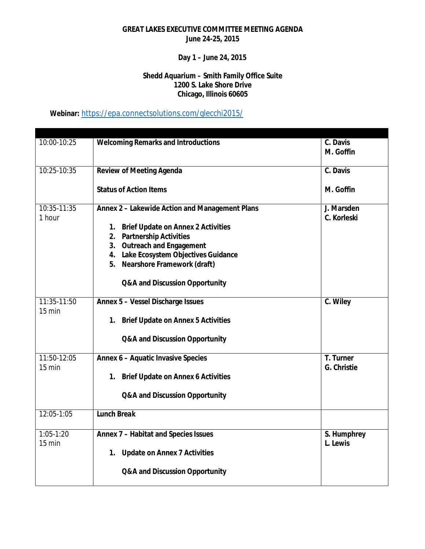### **Day 1 – June 24, 2015**

#### **Shedd Aquarium – Smith Family Office Suite 1200 S. Lake Shore Drive Chicago, Illinois 60605**

# **Webinar:** <https://epa.connectsolutions.com/glecchi2015/>

| 10:00-10:25                       | <b>Welcoming Remarks and Introductions</b>                          | C. Davis                |
|-----------------------------------|---------------------------------------------------------------------|-------------------------|
|                                   |                                                                     | M. Goffin               |
|                                   |                                                                     |                         |
| 10:25-10:35                       | <b>Review of Meeting Agenda</b>                                     | C. Davis                |
|                                   | <b>Status of Action Items</b>                                       | M. Goffin               |
| 10:35-11:35                       | Annex 2 - Lakewide Action and Management Plans                      | J. Marsden              |
| 1 hour                            |                                                                     | C. Korleski             |
|                                   | 1. Brief Update on Annex 2 Activities                               |                         |
|                                   | 2. Partnership Activities                                           |                         |
|                                   | 3. Outreach and Engagement<br>4. Lake Ecosystem Objectives Guidance |                         |
|                                   | 5. Nearshore Framework (draft)                                      |                         |
|                                   |                                                                     |                         |
|                                   | Q&A and Discussion Opportunity                                      |                         |
| 11:35-11:50                       | Annex 5 - Vessel Discharge Issues                                   | C. Wiley                |
| $15 \text{ min}$                  |                                                                     |                         |
|                                   | 1. Brief Update on Annex 5 Activities                               |                         |
|                                   | Q&A and Discussion Opportunity                                      |                         |
|                                   |                                                                     |                         |
| 11:50-12:05                       | Annex 6 - Aquatic Invasive Species                                  | T. Turner               |
| $15 \text{ min}$                  |                                                                     | G. Christie             |
|                                   | 1. Brief Update on Annex 6 Activities                               |                         |
|                                   | Q&A and Discussion Opportunity                                      |                         |
|                                   |                                                                     |                         |
| 12:05-1:05                        | <b>Lunch Break</b>                                                  |                         |
|                                   |                                                                     |                         |
| $1:05 - 1:20$<br>$15 \text{ min}$ | Annex 7 - Habitat and Species Issues                                | S. Humphrey<br>L. Lewis |
|                                   |                                                                     |                         |
|                                   | 1. Update on Annex 7 Activities                                     |                         |
|                                   | Q&A and Discussion Opportunity                                      |                         |
|                                   |                                                                     |                         |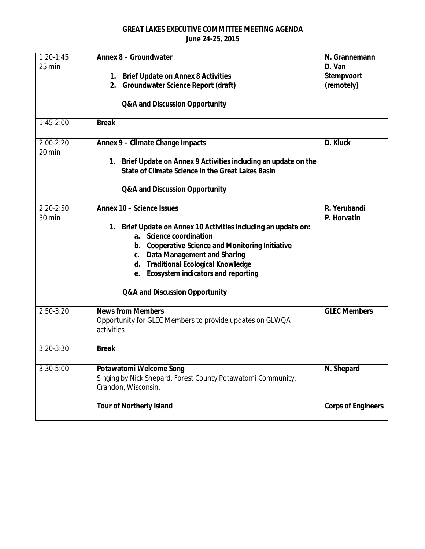| $1:20-1:45$   | Annex 8 - Groundwater                                                                                                 | N. Grannemann             |
|---------------|-----------------------------------------------------------------------------------------------------------------------|---------------------------|
| 25 min        |                                                                                                                       | D. Van                    |
|               | 1. Brief Update on Annex 8 Activities<br>Groundwater Science Report (draft)<br>2.                                     | Stempvoort<br>(remotely)  |
|               |                                                                                                                       |                           |
|               | Q&A and Discussion Opportunity                                                                                        |                           |
| $1:45-2:00$   | <b>Break</b>                                                                                                          |                           |
| $2:00-2:20$   | Annex 9 - Climate Change Impacts                                                                                      | D. Kluck                  |
| 20 min        |                                                                                                                       |                           |
|               | 1. Brief Update on Annex 9 Activities including an update on the<br>State of Climate Science in the Great Lakes Basin |                           |
|               | Q&A and Discussion Opportunity                                                                                        |                           |
| $2:20-2:50$   | Annex 10 - Science Issues                                                                                             | R. Yerubandi              |
| 30 min        |                                                                                                                       | P. Horvatin               |
|               | 1. Brief Update on Annex 10 Activities including an update on:<br>a. Science coordination                             |                           |
|               | b. Cooperative Science and Monitoring Initiative                                                                      |                           |
|               | c. Data Management and Sharing                                                                                        |                           |
|               | d. Traditional Ecological Knowledge                                                                                   |                           |
|               | e. Ecosystem indicators and reporting                                                                                 |                           |
|               | Q&A and Discussion Opportunity                                                                                        |                           |
| $2:50-3:20$   | <b>News from Members</b>                                                                                              | <b>GLEC Members</b>       |
|               | Opportunity for GLEC Members to provide updates on GLWQA                                                              |                           |
|               | activities                                                                                                            |                           |
| $3:20 - 3:30$ | <b>Break</b>                                                                                                          |                           |
| $3:30 - 5:00$ | Potawatomi Welcome Song                                                                                               | N. Shepard                |
|               | Singing by Nick Shepard, Forest County Potawatomi Community,<br>Crandon, Wisconsin.                                   |                           |
|               | <b>Tour of Northerly Island</b>                                                                                       | <b>Corps of Engineers</b> |
|               |                                                                                                                       |                           |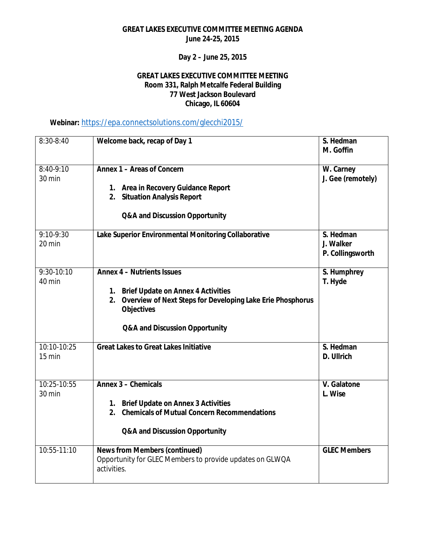**Day 2 – June 25, 2015**

#### **GREAT LAKES EXECUTIVE COMMITTEE MEETING Room 331, Ralph Metcalfe Federal Building 77 West Jackson Boulevard Chicago, IL 60604**

## **Webinar:** <https://epa.connectsolutions.com/glecchi2015/>

| $8:30 - 8:40$          | Welcome back, recap of Day 1                                                                                                                                                                       | S. Hedman<br>M. Goffin                     |
|------------------------|----------------------------------------------------------------------------------------------------------------------------------------------------------------------------------------------------|--------------------------------------------|
| $8:40-9:10$<br>30 min  | Annex 1 - Areas of Concern<br>1. Area in Recovery Guidance Report<br>2. Situation Analysis Report<br>Q&A and Discussion Opportunity                                                                | W. Carney<br>J. Gee (remotely)             |
| $9:10-9:30$<br>20 min  | Lake Superior Environmental Monitoring Collaborative                                                                                                                                               | S. Hedman<br>J. Walker<br>P. Collingsworth |
| $9:30-10:10$<br>40 min | <b>Annex 4 - Nutrients Issues</b><br>1. Brief Update on Annex 4 Activities<br>2. Overview of Next Steps for Developing Lake Erie Phosphorus<br><b>Objectives</b><br>Q&A and Discussion Opportunity | S. Humphrey<br>T. Hyde                     |
| 10:10-10:25<br>15 min  | <b>Great Lakes to Great Lakes Initiative</b>                                                                                                                                                       | S. Hedman<br>D. Ullrich                    |
| 10:25-10:55<br>30 min  | Annex 3 - Chemicals<br>1. Brief Update on Annex 3 Activities<br><b>Chemicals of Mutual Concern Recommendations</b><br>2.<br>Q&A and Discussion Opportunity                                         | V. Galatone<br>L. Wise                     |
| $10:55-11:10$          | <b>News from Members (continued)</b><br>Opportunity for GLEC Members to provide updates on GLWQA<br>activities.                                                                                    | <b>GLEC Members</b>                        |